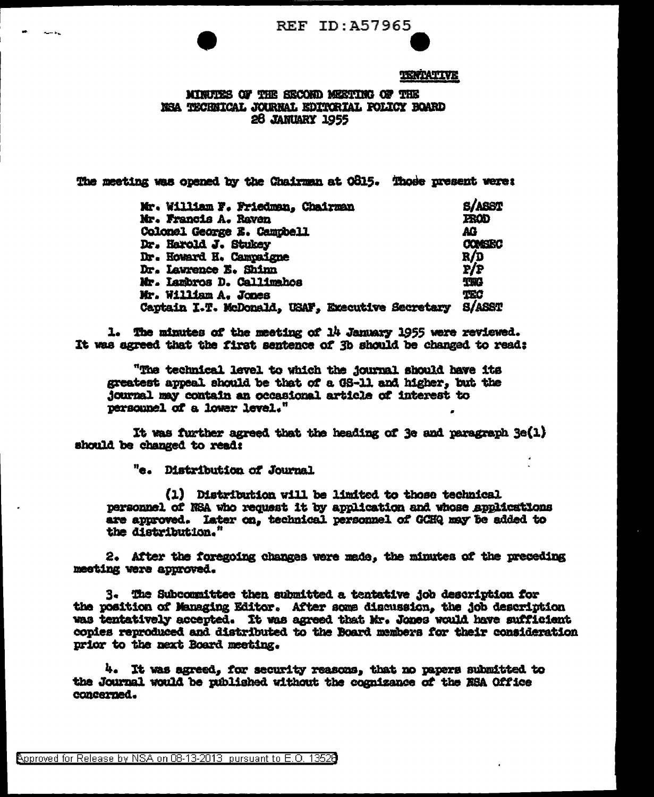**REF ID: A57965** 

## TERTATIVE

MINUTES OF THE SECOND MEETING OF THE NSA TECHNICAL JOURNAL EDITORIAL POLICY BOARD **28 JANUARY 1955** 

The meeting was opened by the Chairman at O815. Those present were:

| Mr. William F. Friedman, Chairman                  | <b>S/ASST</b>        |
|----------------------------------------------------|----------------------|
| Mr. Francis A. Raven                               | <b>FROD</b>          |
| Colonel George E. Campbell<br>Dr. Harold J. Stukey | AΩ<br><b>CONSIRC</b> |
|                                                    |                      |
| Dr. Lawrence E. Shinn                              | P/P                  |
| Mr. Iambros D. Callimahos                          | <b>TWA</b>           |
| Mr. William A. Jones                               | TEC                  |
| Captain I.T. McDonald, USAF, Executive Secretary   | <b>S/ASST</b>        |

1. The minutes of the meeting of 14 January 1955 were reviewed. It was agreed that the first sentence of 3b should be changed to read:

"The technical level to which the journal should have its greatest appeal should be that of a GS-11 and higher. but the journal may contain an occasional article of interest to personnel of a lower level."

It was further agreed that the heading of 3e and paragraph 3e(1) should be changed to read:

"e. Distribution of Journal.

(1) Distribution will be limited to those technical personnel of NSA who request it by application and whose applications are approved. Later on, technical personnel of GCHQ may be added to the distribution."

2. After the foregoing changes were made, the minutes of the preceding meeting were approved.

3. The Subcommittee then submitted a tentative job description for the position of Managing Editor. After some discussion, the job description was tentatively accepted. It was agreed that Mr. Jones would have sufficient copies reproduced and distributed to the Board members for their consideration prior to the next Board meeting.

4. It was agreed, for security reasons, that no papers submitted to the Journal would be published without the cognizance of the ESA Office concerned.